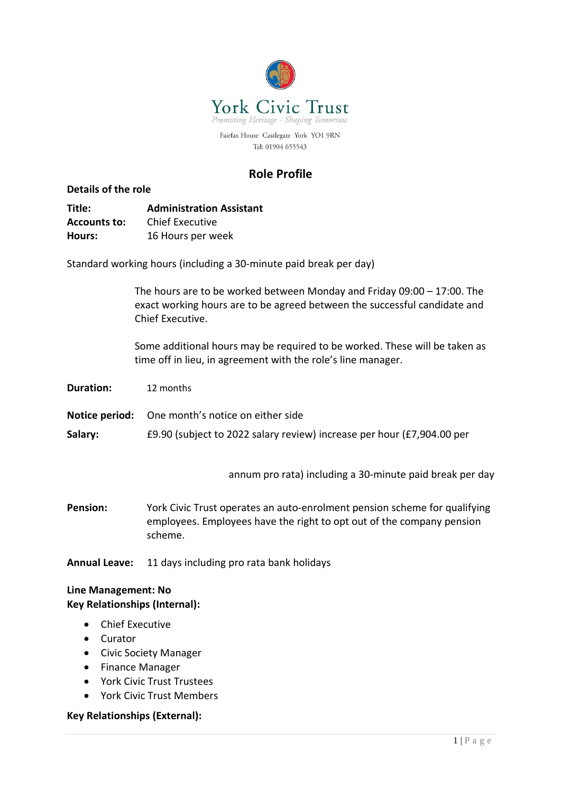

Tel: 01904 655543

# **Role Profile**

## **Details of the role**

**Title: Administration Assistant Accounts to:** Chief Executive **Hours:** 16 Hours per week

Standard working hours (including a 30-minute paid break per day)

The hours are to be worked between Monday and Friday 09:00 – 17:00. The exact working hours are to be agreed between the successful candidate and Chief Executive.

Some additional hours may be required to be worked. These will be taken as time off in lieu, in agreement with the role's line manager.

| <b>Duration:</b> | 12 months |
|------------------|-----------|
|------------------|-----------|

**Notice period:** One month's notice on either side

**Salary:** £9.90 (subject to 2022 salary review) increase per hour (£7,904.00 per

annum pro rata) including a 30-minute paid break per day

**Pension:** York Civic Trust operates an auto-enrolment pension scheme for qualifying employees. Employees have the right to opt out of the company pension scheme.

**Annual Leave:** 11 days including pro rata bank holidays

### **Line Management: No Key Relationships (Internal):**

- Chief Executive
- Curator
- Civic Society Manager
- Finance Manager
- York Civic Trust Trustees
- York Civic Trust Members

### **Key Relationships (External):**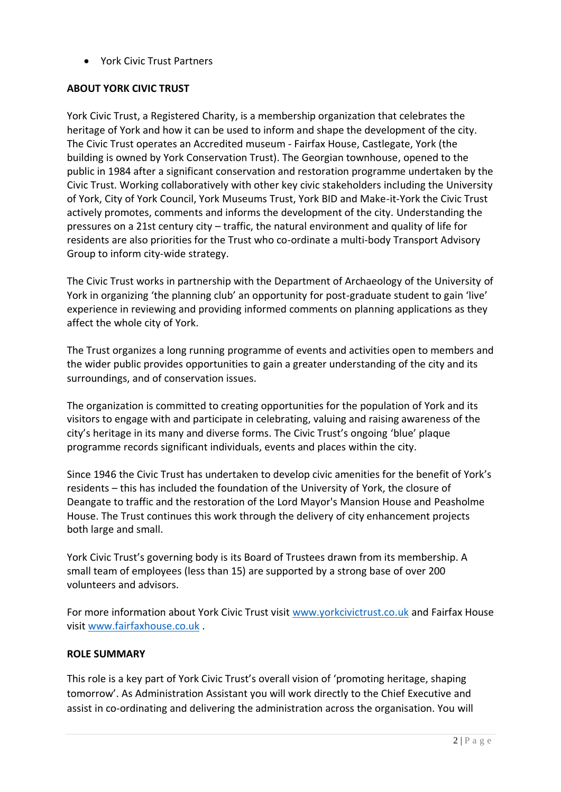• York Civic Trust Partners

# **ABOUT YORK CIVIC TRUST**

York Civic Trust, a Registered Charity, is a membership organization that celebrates the heritage of York and how it can be used to inform and shape the development of the city. The Civic Trust operates an Accredited museum - Fairfax House, Castlegate, York (the building is owned by York Conservation Trust). The Georgian townhouse, opened to the public in 1984 after a significant conservation and restoration programme undertaken by the Civic Trust. Working collaboratively with other key civic stakeholders including the University of York, City of York Council, York Museums Trust, York BID and Make-it-York the Civic Trust actively promotes, comments and informs the development of the city. Understanding the pressures on a 21st century city – traffic, the natural environment and quality of life for residents are also priorities for the Trust who co-ordinate a multi-body Transport Advisory Group to inform city-wide strategy.

The Civic Trust works in partnership with the Department of Archaeology of the University of York in organizing 'the planning club' an opportunity for post-graduate student to gain 'live' experience in reviewing and providing informed comments on planning applications as they affect the whole city of York.

The Trust organizes a long running programme of events and activities open to members and the wider public provides opportunities to gain a greater understanding of the city and its surroundings, and of conservation issues.

The organization is committed to creating opportunities for the population of York and its visitors to engage with and participate in celebrating, valuing and raising awareness of the city's heritage in its many and diverse forms. The Civic Trust's ongoing 'blue' plaque programme records significant individuals, events and places within the city.

Since 1946 the Civic Trust has undertaken to develop civic amenities for the benefit of York's residents – this has included the foundation of the University of York, the closure of Deangate to traffic and the restoration of the Lord Mayor's Mansion House and Peasholme House. The Trust continues this work through the delivery of city enhancement projects both large and small.

York Civic Trust's governing body is its Board of Trustees drawn from its membership. A small team of employees (less than 15) are supported by a strong base of over 200 volunteers and advisors.

For more information about York Civic Trust visit [www.yorkcivictrust.co.uk](http://www.yorkcivictrust.co.uk/) and Fairfax House visit [www.fairfaxhouse.co.uk](http://www.fairfaxhouse.co.uk/) .

# **ROLE SUMMARY**

This role is a key part of York Civic Trust's overall vision of 'promoting heritage, shaping tomorrow'. As Administration Assistant you will work directly to the Chief Executive and assist in co-ordinating and delivering the administration across the organisation. You will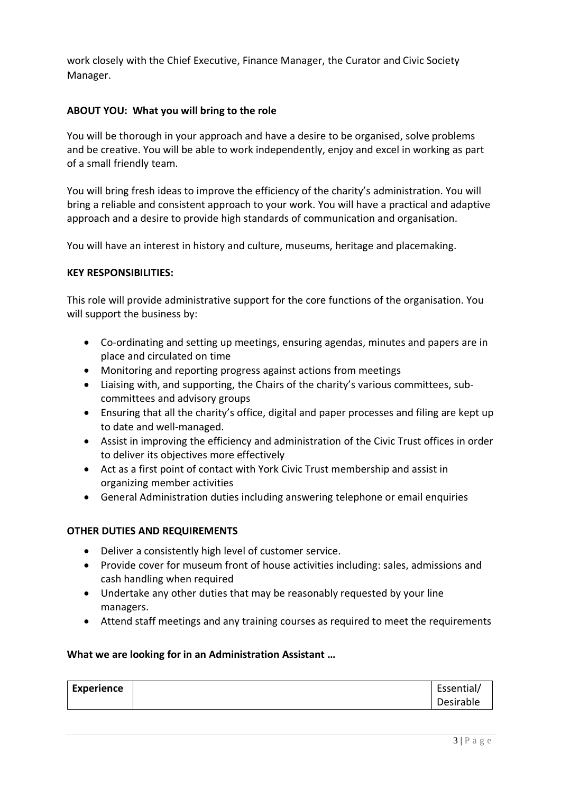work closely with the Chief Executive, Finance Manager, the Curator and Civic Society Manager.

# **ABOUT YOU: What you will bring to the role**

You will be thorough in your approach and have a desire to be organised, solve problems and be creative. You will be able to work independently, enjoy and excel in working as part of a small friendly team.

You will bring fresh ideas to improve the efficiency of the charity's administration. You will bring a reliable and consistent approach to your work. You will have a practical and adaptive approach and a desire to provide high standards of communication and organisation.

You will have an interest in history and culture, museums, heritage and placemaking.

#### **KEY RESPONSIBILITIES:**

This role will provide administrative support for the core functions of the organisation. You will support the business by:

- Co-ordinating and setting up meetings, ensuring agendas, minutes and papers are in place and circulated on time
- Monitoring and reporting progress against actions from meetings
- Liaising with, and supporting, the Chairs of the charity's various committees, subcommittees and advisory groups
- Ensuring that all the charity's office, digital and paper processes and filing are kept up to date and well-managed.
- Assist in improving the efficiency and administration of the Civic Trust offices in order to deliver its objectives more effectively
- Act as a first point of contact with York Civic Trust membership and assist in organizing member activities
- General Administration duties including answering telephone or email enquiries

### **OTHER DUTIES AND REQUIREMENTS**

- Deliver a consistently high level of customer service.
- Provide cover for museum front of house activities including: sales, admissions and cash handling when required
- Undertake any other duties that may be reasonably requested by your line managers.
- Attend staff meetings and any training courses as required to meet the requirements

### **What we are looking for in an Administration Assistant …**

| <b>Experience</b> | Essential/ |
|-------------------|------------|
|                   | Desirable  |